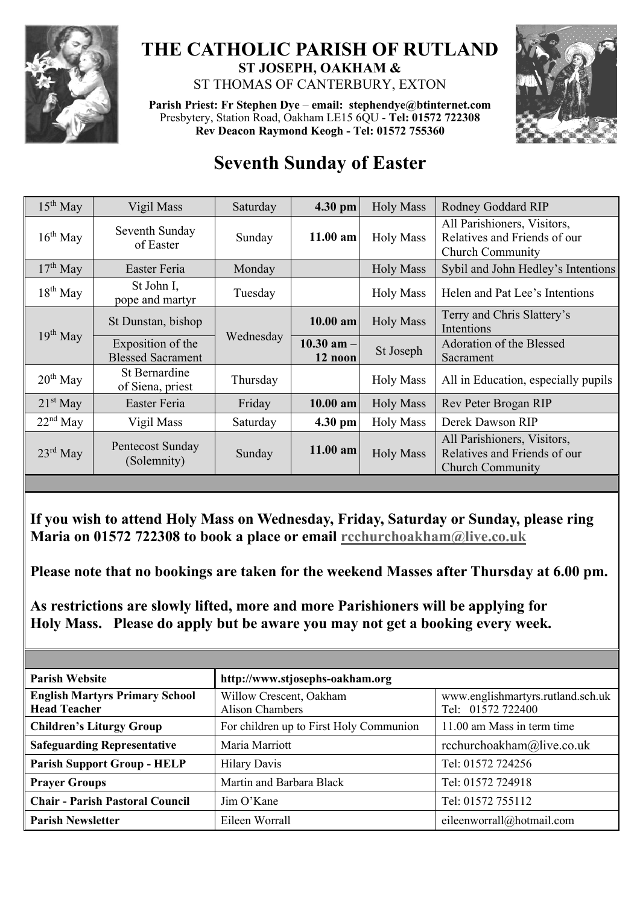

## **THE CATHOLIC PARISH OF RUTLAND ST JOSEPH, OAKHAM &**  ST THOMAS OF CANTERBURY, EXTON

**Parish Priest: Fr Stephen Dye** – **[email: stephendye@btinternet.com](mailto:email:%20%20stephendye@btinternet.com)** Presbytery, Station Road, Oakham LE15 6QU - **Tel: 01572 722308 Rev Deacon Raymond Keogh - Tel: 01572 755360**



## **Seventh Sunday of Easter**

| $15^{th}$ May | Vigil Mass                                    | Saturday  | $4.30$ pm                 | <b>Holy Mass</b> | Rodney Goddard RIP                                                                     |
|---------------|-----------------------------------------------|-----------|---------------------------|------------------|----------------------------------------------------------------------------------------|
| $16^{th}$ May | Seventh Sunday<br>of Easter                   | Sunday    | $11.00$ am                | <b>Holy Mass</b> | All Parishioners, Visitors,<br>Relatives and Friends of our<br><b>Church Community</b> |
| $17th$ May    | Easter Feria                                  | Monday    |                           | <b>Holy Mass</b> | Sybil and John Hedley's Intentions                                                     |
| $18th$ May    | St John I,<br>pope and martyr                 | Tuesday   |                           | <b>Holy Mass</b> | Helen and Pat Lee's Intentions                                                         |
| $19^{th}$ May | St Dunstan, bishop                            | Wednesday | 10.00 am                  | <b>Holy Mass</b> | Terry and Chris Slattery's<br>Intentions                                               |
|               | Exposition of the<br><b>Blessed Sacrament</b> |           | $10.30$ am $-$<br>12 noon | St Joseph        | Adoration of the Blessed<br>Sacrament                                                  |
| $20th$ May    | St Bernardine<br>of Siena, priest             | Thursday  |                           | <b>Holy Mass</b> | All in Education, especially pupils                                                    |
| $21st$ May    | Easter Feria                                  | Friday    | 10.00 am                  | <b>Holy Mass</b> | Rev Peter Brogan RIP                                                                   |
| $22nd$ May    | Vigil Mass                                    | Saturday  | 4.30 pm                   | <b>Holy Mass</b> | Derek Dawson RIP                                                                       |
| $23rd$ May    | Pentecost Sunday<br>(Solemnity)               | Sunday    | 11.00 am                  | <b>Holy Mass</b> | All Parishioners, Visitors,<br>Relatives and Friends of our<br><b>Church Community</b> |

**If you wish to attend Holy Mass on Wednesday, Friday, Saturday or Sunday, please ring Maria on 01572 722308 to book a place or email [rcchurchoakham@live.co.uk](mailto:rcchurchoakham@live.co.uk)**

**Please note that no bookings are taken for the weekend Masses after Thursday at 6.00 pm.**

**As restrictions are slowly lifted, more and more Parishioners will be applying for Holy Mass. Please do apply but be aware you may not get a booking every week.**

| <b>Parish Website</b>                                        | http://www.stjosephs-oakham.org                   |                                                        |  |  |
|--------------------------------------------------------------|---------------------------------------------------|--------------------------------------------------------|--|--|
| <b>English Martyrs Primary School</b><br><b>Head Teacher</b> | Willow Crescent, Oakham<br><b>Alison Chambers</b> | www.englishmartyrs.rutland.sch.uk<br>Tel: 01572 722400 |  |  |
| <b>Children's Liturgy Group</b>                              | For children up to First Holy Communion           | 11.00 am Mass in term time                             |  |  |
| <b>Safeguarding Representative</b>                           | Maria Marriott                                    | rcchurchoakham@live.co.uk                              |  |  |
| <b>Parish Support Group - HELP</b>                           | <b>Hilary Davis</b>                               | Tel: 01572 724256                                      |  |  |
| <b>Prayer Groups</b>                                         | Martin and Barbara Black                          | Tel: 01572 724918                                      |  |  |
| <b>Chair - Parish Pastoral Council</b>                       | Jim O'Kane                                        | Tel: 01572 755112                                      |  |  |
| <b>Parish Newsletter</b>                                     | Eileen Worrall                                    | eileenworrall@hotmail.com                              |  |  |